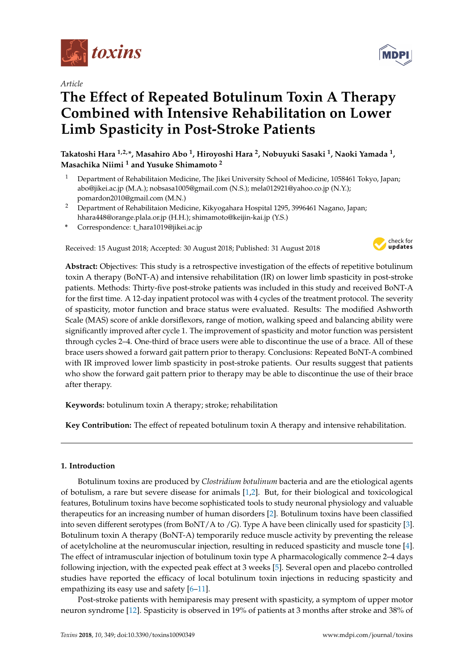

*Article*

# **The Effect of Repeated Botulinum Toxin A Therapy Combined with Intensive Rehabilitation on Lower Limb Spasticity in Post-Stroke Patients**

**Takatoshi Hara 1,2,\*, Masahiro Abo <sup>1</sup> , Hiroyoshi Hara <sup>2</sup> , Nobuyuki Sasaki <sup>1</sup> , Naoki Yamada <sup>1</sup> , Masachika Niimi <sup>1</sup> and Yusuke Shimamoto <sup>2</sup>**

- <sup>1</sup> Department of Rehabilitaion Medicine, The Jikei University School of Medicine, 1058461 Tokyo, Japan; abo@jikei.ac.jp (M.A.); nobsasa1005@gmail.com (N.S.); mela012921@yahoo.co.jp (N.Y.); pomardon2010@gmail.com (M.N.)
- <sup>2</sup> Department of Rehabilitaion Medicine, Kikyogahara Hospital 1295, 3996461 Nagano, Japan; hhara448@orange.plala.or.jp (H.H.); shimamoto@keijin-kai.jp (Y.S.)
- **\*** Correspondence: t\_hara1019@jikei.ac.jp

Received: 15 August 2018; Accepted: 30 August 2018; Published: 31 August 2018



**Abstract:** Objectives: This study is a retrospective investigation of the effects of repetitive botulinum toxin A therapy (BoNT-A) and intensive rehabilitation (IR) on lower limb spasticity in post-stroke patients. Methods: Thirty-five post-stroke patients was included in this study and received BoNT-A for the first time. A 12-day inpatient protocol was with 4 cycles of the treatment protocol. The severity of spasticity, motor function and brace status were evaluated. Results: The modified Ashworth Scale (MAS) score of ankle dorsiflexors, range of motion, walking speed and balancing ability were significantly improved after cycle 1. The improvement of spasticity and motor function was persistent through cycles 2–4. One-third of brace users were able to discontinue the use of a brace. All of these brace users showed a forward gait pattern prior to therapy. Conclusions: Repeated BoNT-A combined with IR improved lower limb spasticity in post-stroke patients. Our results suggest that patients who show the forward gait pattern prior to therapy may be able to discontinue the use of their brace after therapy.

**Keywords:** botulinum toxin A therapy; stroke; rehabilitation

**Key Contribution:** The effect of repeated botulinum toxin A therapy and intensive rehabilitation.

### **1. Introduction**

Botulinum toxins are produced by *Clostridium botulinum* bacteria and are the etiological agents of botulism, a rare but severe disease for animals [\[1,](#page-9-0)[2\]](#page-9-1). But, for their biological and toxicological features, Botulinum toxins have become sophisticated tools to study neuronal physiology and valuable therapeutics for an increasing number of human disorders [\[2\]](#page-9-1). Botulinum toxins have been classified into seven different serotypes (from BoNT/A to /G). Type A have been clinically used for spasticity [\[3\]](#page-9-2). Botulinum toxin A therapy (BoNT-A) temporarily reduce muscle activity by preventing the release of acetylcholine at the neuromuscular injection, resulting in reduced spasticity and muscle tone [\[4\]](#page-9-3). The effect of intramuscular injection of botulinum toxin type A pharmacologically commence 2–4 days following injection, with the expected peak effect at 3 weeks [\[5\]](#page-9-4). Several open and placebo controlled studies have reported the efficacy of local botulinum toxin injections in reducing spasticity and empathizing its easy use and safety  $[6-11]$  $[6-11]$ .

Post-stroke patients with hemiparesis may present with spasticity, a symptom of upper motor neuron syndrome [\[12\]](#page-10-1). Spasticity is observed in 19% of patients at 3 months after stroke and 38% of

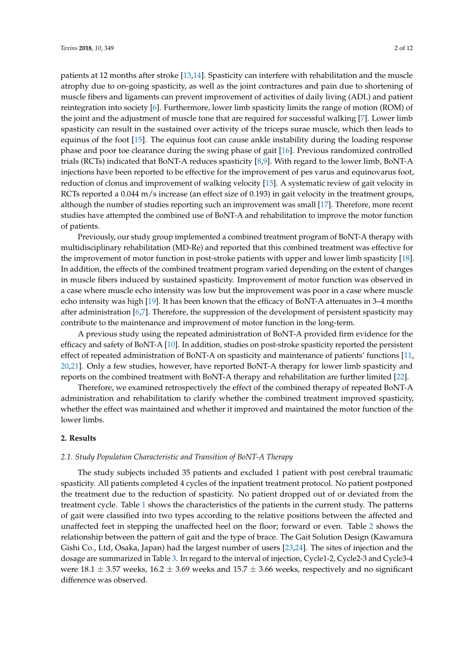patients at 12 months after stroke [\[13,](#page-10-2)[14\]](#page-10-3). Spasticity can interfere with rehabilitation and the muscle atrophy due to on-going spasticity, as well as the joint contractures and pain due to shortening of muscle fibers and ligaments can prevent improvement of activities of daily living (ADL) and patient reintegration into society [\[6\]](#page-9-5). Furthermore, lower limb spasticity limits the range of motion (ROM) of the joint and the adjustment of muscle tone that are required for successful walking [\[7\]](#page-10-4). Lower limb spasticity can result in the sustained over activity of the triceps surae muscle, which then leads to equinus of the foot [\[15\]](#page-10-5). The equinus foot can cause ankle instability during the loading response phase and poor toe clearance during the swing phase of gait [\[16\]](#page-10-6). Previous randomized controlled trials (RCTs) indicated that BoNT-A reduces spasticity [\[8,](#page-10-7)[9\]](#page-10-8). With regard to the lower limb, BoNT-A injections have been reported to be effective for the improvement of pes varus and equinovarus foot, reduction of clonus and improvement of walking velocity [\[15\]](#page-10-5). A systematic review of gait velocity in RCTs reported a 0.044 m/s increase (an effect size of 0.193) in gait velocity in the treatment groups, although the number of studies reporting such an improvement was small [\[17\]](#page-10-9). Therefore, more recent studies have attempted the combined use of BoNT-A and rehabilitation to improve the motor function of patients.

Previously, our study group implemented a combined treatment program of BoNT-A therapy with multidisciplinary rehabilitation (MD-Re) and reported that this combined treatment was effective for the improvement of motor function in post-stroke patients with upper and lower limb spasticity [\[18\]](#page-10-10). In addition, the effects of the combined treatment program varied depending on the extent of changes in muscle fibers induced by sustained spasticity. Improvement of motor function was observed in a case where muscle echo intensity was low but the improvement was poor in a case where muscle echo intensity was high [\[19\]](#page-10-11). It has been known that the efficacy of BoNT-A attenuates in 3–4 months after administration [\[6,](#page-9-5)[7\]](#page-10-4). Therefore, the suppression of the development of persistent spasticity may contribute to the maintenance and improvement of motor function in the long-term.

A previous study using the repeated administration of BoNT-A provided firm evidence for the efficacy and safety of BoNT-A [\[10\]](#page-10-12). In addition, studies on post-stroke spasticity reported the persistent effect of repeated administration of BoNT-A on spasticity and maintenance of patients' functions [\[11,](#page-10-0) [20](#page-10-13)[,21\]](#page-10-14). Only a few studies, however, have reported BoNT-A therapy for lower limb spasticity and reports on the combined treatment with BoNT-A therapy and rehabilitation are further limited [\[22\]](#page-10-15).

Therefore, we examined retrospectively the effect of the combined therapy of repeated BoNT-A administration and rehabilitation to clarify whether the combined treatment improved spasticity, whether the effect was maintained and whether it improved and maintained the motor function of the lower limbs.

### **2. Results**

### *2.1. Study Population Characteristic and Transition of BoNT-A Therapy*

The study subjects included 35 patients and excluded 1 patient with post cerebral traumatic spasticity. All patients completed 4 cycles of the inpatient treatment protocol. No patient postponed the treatment due to the reduction of spasticity. No patient dropped out of or deviated from the treatment cycle. Table [1](#page-2-0) shows the characteristics of the patients in the current study. The patterns of gait were classified into two types according to the relative positions between the affected and unaffected feet in stepping the unaffected heel on the floor; forward or even. Table [2](#page-2-1) shows the relationship between the pattern of gait and the type of brace. The Gait Solution Design (Kawamura Gishi Co., Ltd, Osaka, Japan) had the largest number of users [\[23,](#page-10-16)[24\]](#page-10-17). The sites of injection and the dosage are summarized in Table [3.](#page-2-2) In regard to the interval of injection, Cycle1-2, Cycle2-3 and Cycle3-4 were 18.1  $\pm$  3.57 weeks, 16.2  $\pm$  3.69 weeks and 15.7  $\pm$  3.66 weeks, respectively and no significant difference was observed.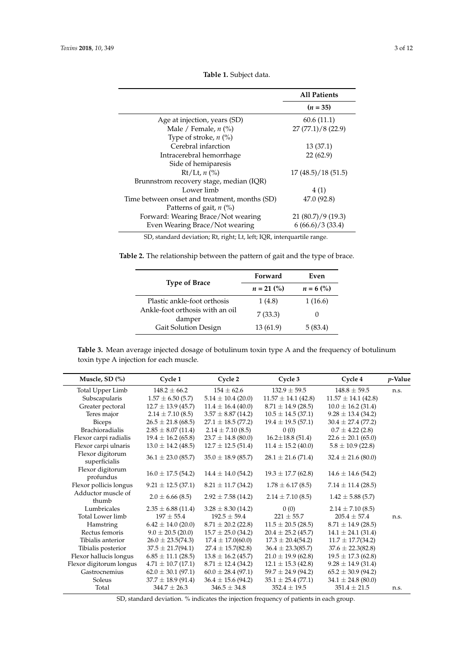<span id="page-2-0"></span> $\overline{a}$ 

 $\overline{a}$ 

|                                               | <b>All Patients</b> |
|-----------------------------------------------|---------------------|
|                                               | $(n = 35)$          |
| Age at injection, years (SD)                  | 60.6(11.1)          |
| Male / Female, $n$ (%)                        | 27(77.1)/8(22.9)    |
| Type of stroke, $n$ (%)                       |                     |
| Cerebral infarction                           | 13(37.1)            |
| Intracerebral hemorrhage                      | 22(62.9)            |
| Side of hemiparesis                           |                     |
| $Rt/Lt$ , n $(\%)$                            | 17(48.5)/18(51.5)   |
| Brunnstrom recovery stage, median (IQR)       |                     |
| Lower limb                                    | 4(1)                |
| Time between onset and treatment, months (SD) | 47.0 (92.8)         |
| Patterns of gait, $n$ (%)                     |                     |
| Forward: Wearing Brace/Not wearing            | 21(80.7)/9(19.3)    |
| Even Wearing Brace/Not wearing                | 6(66.6)/3(33.4)     |
|                                               |                     |

**Table 1.** Subject data.

SD, standard deviation; Rt, right; Lt, left; IQR, interquartile range.

<span id="page-2-1"></span>

|  |  |  |  |  |  | <b>Table 2.</b> The relationship between the pattern of gait and the type of brace. |  |  |  |  |  |  |  |  |  |
|--|--|--|--|--|--|-------------------------------------------------------------------------------------|--|--|--|--|--|--|--|--|--|
|--|--|--|--|--|--|-------------------------------------------------------------------------------------|--|--|--|--|--|--|--|--|--|

|                                           | Forward      | Even        |
|-------------------------------------------|--------------|-------------|
| <b>Type of Brace</b>                      | $n = 21$ (%) | $n = 6$ (%) |
| Plastic ankle-foot orthosis               | 1(4.8)       | 1(16.6)     |
| Ankle-foot orthosis with an oil<br>damper | 7(33.3)      | 5(83.4)     |
| Gait Solution Design                      | 13 (61.9)    |             |

<span id="page-2-2"></span>**Table 3.** Mean average injected dosage of botulinum toxin type A and the frequency of botulinum toxin type A injection for each muscle.

| Muscle, SD (%)                    | Cycle 1                | Cycle 2                | Cycle 3                 | Cycle 4                 | $p$ -Value |
|-----------------------------------|------------------------|------------------------|-------------------------|-------------------------|------------|
| Total Upper Limb                  | $148.2 \pm 66.2$       | $154 \pm 62.6$         | $132.9 \pm 59.5$        | $148.8 \pm 59.5$        | n.s.       |
| Subscapularis                     | $1.57 \pm 6.50$ (5.7)  | $5.14 \pm 10.4$ (20.0) | $11.57 \pm 14.1$ (42.8) | $11.57 \pm 14.1$ (42.8) |            |
| Greater pectoral                  | $12.7 \pm 13.9$ (45.7) | $11.4 \pm 16.4$ (40.0) | $8.71 \pm 14.9$ (28.5)  | $10.0 \pm 16.2$ (31.4)  |            |
| Teres major                       | $2.14 \pm 7.10$ (8.5)  | $3.57 \pm 8.87$ (14.2) | $10.5 \pm 14.5$ (37.1)  | $9.28 \pm 13.4$ (34.2)  |            |
| <b>Biceps</b>                     | $26.5 \pm 21.8$ (68.5) | $27.1 \pm 18.5$ (77.2) | $19.4 \pm 19.5$ (57.1)  | $30.4 \pm 27.4$ (77.2)  |            |
| <b>Brachioradialis</b>            | $2.85 \pm 8.07$ (11.4) | $2.14 \pm 7.10$ (8.5)  | 0(0)                    | $0.7 \pm 4.22$ (2.8)    |            |
| Flexor carpi radialis             | $19.4 \pm 16.2$ (65.8) | $23.7 \pm 14.8$ (80.0) | $16.2 \pm 18.8$ (51.4)  | $22.6 \pm 20.1$ (65.0)  |            |
| Flexor carpi ulnaris              | $13.0 \pm 14.2$ (48.5) | $12.7 \pm 12.5$ (51.4) | $11.4 \pm 15.2$ (40.0)  | $5.8 \pm 10.9$ (22.8)   |            |
| Flexor digitorum<br>superficialis | $36.1 \pm 23.0$ (85.7) | $35.0 \pm 18.9$ (85.7) | $28.1 \pm 21.6$ (71.4)  | $32.4 \pm 21.6$ (80.0)  |            |
| Flexor digitorum<br>profundus     | $16.0 \pm 17.5$ (54.2) | $14.4 \pm 14.0$ (54.2) | $19.3 \pm 17.7$ (62.8)  | $14.6 \pm 14.6$ (54.2)  |            |
| Flexor pollicis longus            | $9.21 \pm 12.5$ (37.1) | $8.21 \pm 11.7$ (34.2) | $1.78 \pm 6.17$ (8.5)   | $7.14 \pm 11.4$ (28.5)  |            |
| Adductor muscle of<br>thumb       | $2.0 \pm 6.66(8.5)$    | $2.92 \pm 7.58$ (14.2) | $2.14 \pm 7.10$ (8.5)   | $1.42 \pm 5.88$ (5.7)   |            |
| Lumbricales                       | $2.35 \pm 6.88$ (11.4) | $3.28 \pm 8.30$ (14.2) | 0(0)                    | $2.14 \pm 7.10$ (8.5)   |            |
| Total Lower limb                  | $197 + 55.4$           | $192.5 \pm 59.4$       | $221 \pm 55.7$          | $205.4 + 57.4$          | n.s.       |
| Hamstring                         | $6.42 \pm 14.0$ (20.0) | $8.71 \pm 20.2$ (22.8) | $11.5 \pm 20.5$ (28.5)  | $8.71 \pm 14.9$ (28.5)  |            |
| Rectus femoris                    | $9.0 \pm 20.5$ (20.0)  | $15.7 \pm 25.0$ (34.2) | $20.4 \pm 25.2$ (45.7)  | $14.1 \pm 24.1$ (31.4)  |            |
| Tibialis anterior                 | $26.0 \pm 23.5(74.3)$  | $17.4 \pm 17.0(60.0)$  | $17.3 \pm 20.4(54.2)$   | $11.7 \pm 17.7(34.2)$   |            |
| Tibialis posterior                | $37.5 \pm 21.7(94.1)$  | $27.4 \pm 15.7(82.8)$  | $36.4 \pm 23.3(85.7)$   | $37.6 \pm 22.3(82.8)$   |            |
| Flexor hallucis longus            | $6.85 \pm 11.1$ (28.5) | $13.8 \pm 16.2$ (45.7) | $21.0 \pm 19.9$ (62.8)  | $19.5 \pm 17.3$ (62.8)  |            |
| Flexor digitorum longus           | $4.71 \pm 10.7$ (17.1) | $8.71 \pm 12.4$ (34.2) | $12.1 \pm 15.3$ (42.8)  | $9.28 \pm 14.9$ (31.4)  |            |
| Gastrocnemius                     | $62.0 \pm 30.1$ (97.1) | $60.0 \pm 28.4$ (97.1) | $59.7 \pm 24.9$ (94.2)  | $65.2 \pm 30.9$ (94.2)  |            |
| Soleus                            | $37.7 \pm 18.9$ (91.4) | $36.4 \pm 15.6$ (94.2) | $35.1 \pm 25.4 (77.1)$  | $34.1 \pm 24.8$ (80.0)  |            |
| Total                             | $344.7 \pm 26.3$       | $346.5 \pm 34.8$       | $352.4 \pm 19.5$        | $351.4 \pm 21.5$        | n.s.       |
|                                   |                        |                        |                         |                         |            |

SD, standard deviation. % indicates the injection frequency of patients in each group.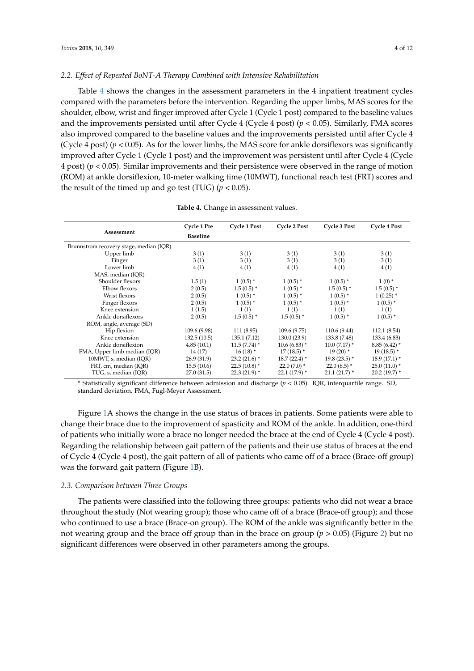### *2.2. Effect of Repeated BoNT-A Therapy Combined with Intensive Rehabilitation*

Table [4](#page-3-0) shows the changes in the assessment parameters in the 4 inpatient treatment cycles compared with the parameters before the intervention. Regarding the upper limbs, MAS scores for the shoulder, elbow, wrist and finger improved after Cycle 1 (Cycle 1 post) compared to the baseline values and the improvements persisted until after Cycle 4 (Cycle 4 post) (*p* < 0.05). Similarly, FMA scores also improved compared to the baseline values and the improvements persisted until after Cycle 4 (Cycle 4 post)  $(p < 0.05)$ . As for the lower limbs, the MAS score for ankle dorsiflexors was significantly improved after Cycle 1 (Cycle 1 post) and the improvement was persistent until after Cycle 4 (Cycle 4 post) (*p* < 0.05). Similar improvements and their persistence were observed in the range of motion (ROM) at ankle dorsiflexion, 10-meter walking time (10MWT), functional reach test (FRT) scores and the result of the timed up and go test (TUG)  $(p < 0.05)$ .

<span id="page-3-0"></span>

|                                         | Cycle 1 Pre     | Cycle 1 Post   | Cycle 2 Post   | Cycle 3 Post    | <b>Cycle 4 Post</b> |
|-----------------------------------------|-----------------|----------------|----------------|-----------------|---------------------|
| Assessment                              | <b>Baseline</b> |                |                |                 |                     |
| Brunnstrom recovery stage, median (IQR) |                 |                |                |                 |                     |
| Upper limb                              | 3(1)            | 3(1)           | 3(1)           | 3(1)            | 3(1)                |
| Finger                                  | 3(1)            | 3(1)           | 3(1)           | 3(1)            | 3(1)                |
| Lower limb                              | 4(1)            | 4(1)           | 4(1)           | 4(1)            | 4(1)                |
| MAS, median (IOR)                       |                 |                |                |                 |                     |
| Shoulder flexors                        | 1.5(1)          | $1(0.5)$ *     | $1(0.5)$ *     | $1(0.5)$ *      | $1(0)$ *            |
| Elbow flexors                           | 2(0.5)          | $1.5(0.5)$ *   | $1(0.5)$ *     | $1.5(0.5)^*$    | $1.5(0.5)$ *        |
| Wrist flexors                           | 2(0.5)          | $1(0.5)$ *     | $1(0.5)$ *     | $1(0.5)$ *      | $1(0.25)$ *         |
| Finger flexors                          | 2(0.5)          | $1(0.5)$ *     | $1(0.5)$ *     | $1(0.5)$ *      | $1(0.5)$ *          |
| Knee extension                          | 1(1.5)          | 1(1)           | 1(1)           | 1(1)            | 1(1)                |
| Ankle dorsiflexors                      | 2(0.5)          | $1.5(0.5)^*$   | $1.5(0.5)$ *   | $1(0.5)$ *      | $1(0.5)$ *          |
| ROM, angle, average (SD)                |                 |                |                |                 |                     |
| Hip flexion                             | 109.6 (9.98)    | 111(8.95)      | 109.6(9.75)    | 110.6 (9.44)    | 112.1 (8.54)        |
| Knee extension                          | 132.5(10.5)     | 135.1(7.12)    | 130.0(23.9)    | 133.8 (7.48)    | 133.4 (6.83)        |
| Ankle dorsiflexion                      | 4.85(10.1)      | $11.5(7.74)$ * | $10.6(6.83)$ * | $10.0 (7.17)^*$ | $8.85(6.42)$ *      |
| FMA, Upper limb median (IQR)            | 14(17)          | $16(18)$ *     | $17(18.5)$ *   | $19(20)$ *      | $19(18.5)$ *        |
| 10MWT, s, median (IQR)                  | 26.9(31.9)      | $23.2(21.6)$ * | $18.7(22.4)$ * | $19.8(23.5)$ *  | $18.9(17.1)$ *      |
| FRT, cm, median (IOR)                   | 15.5(10.6)      | $22.5(10.8)$ * | $22.0(7.0)*$   | $22.0(6.5)$ *   | $25.0(11.0)$ *      |
| TUG, s, median (IOR)                    | 27.0(31.5)      | $22.3(21.9)$ * | $22.1(17.9)$ * | $21.1(21.7)$ *  | $20.2(19.7)$ *      |

**Table 4.** Change in assessment values.

\* Statistically significant difference between admission and discharge (*p* < 0.05). IQR, interquartile range. SD, standard deviation. FMA, Fugl-Meyer Assessment.

Figure [1A](#page-4-0) shows the change in the use status of braces in patients. Some patients were able to change their brace due to the improvement of spasticity and ROM of the ankle. In addition, one-third of patients who initially wore a brace no longer needed the brace at the end of Cycle 4 (Cycle 4 post). Regarding the relationship between gait pattern of the patients and their use status of braces at the end of Cycle 4 (Cycle 4 post), the gait pattern of all of patients who came off of a brace (Brace-off group) was the forward gait pattern (Figure [1B](#page-4-0)).

### *2.3. Comparison between Three Groups*

The patients were classified into the following three groups: patients who did not wear a brace throughout the study (Not wearing group); those who came off of a brace (Brace-off group); and those who continued to use a brace (Brace-on group). The ROM of the ankle was significantly better in the not wearing group and the brace off group than in the brace on group (*p* > 0.05) (Figure [2\)](#page-4-1) but no significant differences were observed in other parameters among the groups.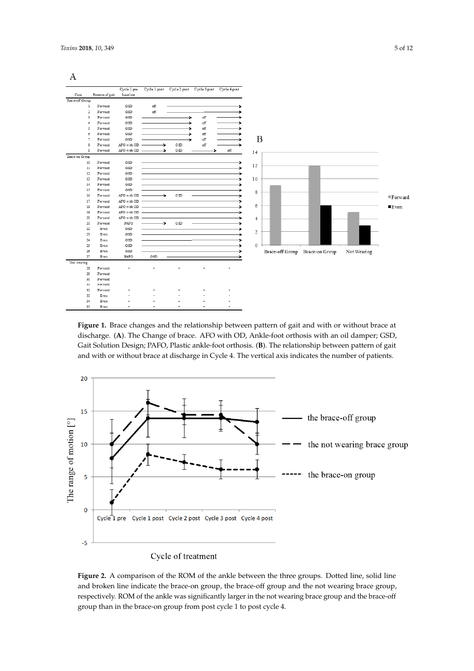<span id="page-4-0"></span>

| A               |                           |                         |               |     |     |                                                     |                |  |                                |             |                         |
|-----------------|---------------------------|-------------------------|---------------|-----|-----|-----------------------------------------------------|----------------|--|--------------------------------|-------------|-------------------------|
|                 |                           |                         |               |     |     |                                                     |                |  |                                |             |                         |
| Case            | Patterns of gait          | Cycle 1 pre<br>baseline |               |     |     | Cycle 1 post Cycle 2 post Cycle 3 post Cycle 4 post |                |  |                                |             |                         |
| Brace-off Group |                           |                         |               |     |     |                                                     |                |  |                                |             |                         |
|                 | Forward<br>1              | GSD                     | off           |     |     |                                                     |                |  |                                |             |                         |
|                 | $\overline{2}$<br>Forward | GSD                     | off           |     |     |                                                     |                |  |                                |             |                         |
|                 | 3<br>Forward              | GSD                     |               | ÷   | off |                                                     |                |  |                                |             |                         |
|                 | Forward<br>4              | GSD                     |               |     | off |                                                     |                |  |                                |             |                         |
|                 | 5<br>Forward              | GSD                     |               |     | оff |                                                     |                |  |                                |             |                         |
|                 | Forward<br>б              | GSD                     |               |     | off |                                                     |                |  |                                |             |                         |
|                 | 7<br>Forward              | GSD                     |               |     | off | ٠                                                   | B              |  |                                |             |                         |
|                 | 8<br>Forward              | AFO with OD             | ÷             | GSD | off | ⇒                                                   |                |  |                                |             |                         |
|                 | 9<br>Forward              | AFO with OD             | ⇒             | GSD |     | off                                                 | 14             |  |                                |             |                         |
| Brace-on Group  |                           |                         |               |     |     |                                                     |                |  |                                |             |                         |
| 10              | Forward                   | GSD                     |               |     |     |                                                     |                |  |                                |             |                         |
| 11              | Forward                   | GSD                     |               |     |     |                                                     | 12             |  |                                |             |                         |
| 12              | Forward                   | GSD                     |               |     |     |                                                     |                |  |                                |             |                         |
| 13              | Forward                   | GSD                     |               |     |     |                                                     | 10             |  |                                |             |                         |
| 14              | Forward                   | GSD                     |               |     |     |                                                     |                |  |                                |             |                         |
| 15              | Forward                   | GSD                     |               |     |     |                                                     | 8              |  |                                |             |                         |
| 16              | Forward                   | AFO with OD             | $\rightarrow$ | GSD |     |                                                     |                |  |                                |             | $\blacksquare$ F orward |
| 17              | Forward                   | AFO with OD             |               |     |     |                                                     |                |  |                                |             |                         |
| 18              | Forward                   | AFO with OD             |               |     |     |                                                     | 6              |  |                                |             | $\blacksquare$ Even     |
| 19              | Forward                   | AFO with OD             |               |     |     |                                                     |                |  |                                |             |                         |
| 20              | Forward                   | AFO with OD             |               |     |     |                                                     | $\overline{4}$ |  |                                |             |                         |
| 21              | Forward                   | PAFO                    | ÷             | GSD |     |                                                     |                |  |                                |             |                         |
| 22              | Even                      | GSD                     |               |     |     |                                                     | 2              |  |                                |             |                         |
| 23              | Even                      | GSD                     |               |     |     |                                                     |                |  |                                |             |                         |
| 24              | Even                      | GSD                     |               |     |     |                                                     | $\mathbf 0$    |  |                                |             |                         |
| 25<br>26        | Even<br>Even              | GSD<br>GSD              |               |     |     |                                                     |                |  |                                |             |                         |
| 27              | Even                      | PAFO                    | GSD           |     |     |                                                     |                |  | Brace-off Group Brace-on Group | Not Wearing |                         |
| Not wearing     |                           |                         |               |     |     |                                                     |                |  |                                |             |                         |
| 28              | Forward                   |                         |               |     |     |                                                     |                |  |                                |             |                         |
| 29              | Forward                   |                         |               |     |     |                                                     |                |  |                                |             |                         |
| 30              | Forward                   |                         |               |     |     |                                                     |                |  |                                |             |                         |
| 31              | Forward                   |                         |               |     |     |                                                     |                |  |                                |             |                         |
| 32              | Forward                   |                         |               |     |     |                                                     |                |  |                                |             |                         |
| 33              | Even                      |                         |               |     |     |                                                     |                |  |                                |             |                         |
| 34              | Even                      |                         |               |     |     |                                                     |                |  |                                |             |                         |
| 35              | Even                      |                         |               |     |     |                                                     |                |  |                                |             |                         |

**Figure 1.** Brace changes and the relationship between pattern of gait and with or without brace at **Figure 1.** Brace changes and the relationship between pattern of gait and with or without brace at discharge. (**A**). The Change of brace. AFO with OD, Ankle-foot orthosis with an oil damper; GSD, discharge. (**A**). The Change of brace. AFO with OD, Ankle-foot orthosis with an oil damper; GSD, Gait Solution Design; PAFO, Plastic ankle-foot orthosis. (**B**). The relationship between pattern of gait and with or without brace at discharge in Cycle 4. The vertical axis indicates the number of patients.

<span id="page-4-1"></span>

Figure 2. A comparison of the ROM of the ankle between the three groups. Dotted line, solid line and broken line indicate the brace-on group, the brace-off group and the not wearing brace group, respectively. ROM of the ankle was significantly larger in the not wearing brace group and the brace-off group than in the brace-on group from post cycle 1 to post cycle 4.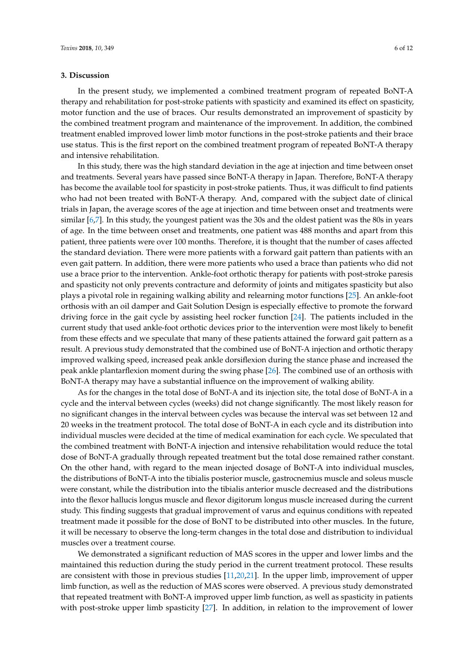### **3. Discussion**

In the present study, we implemented a combined treatment program of repeated BoNT-A therapy and rehabilitation for post-stroke patients with spasticity and examined its effect on spasticity, motor function and the use of braces. Our results demonstrated an improvement of spasticity by the combined treatment program and maintenance of the improvement. In addition, the combined treatment enabled improved lower limb motor functions in the post-stroke patients and their brace use status. This is the first report on the combined treatment program of repeated BoNT-A therapy and intensive rehabilitation.

In this study, there was the high standard deviation in the age at injection and time between onset and treatments. Several years have passed since BoNT-A therapy in Japan. Therefore, BoNT-A therapy has become the available tool for spasticity in post-stroke patients. Thus, it was difficult to find patients who had not been treated with BoNT-A therapy. And, compared with the subject date of clinical trials in Japan, the average scores of the age at injection and time between onset and treatments were similar [\[6](#page-9-5)[,7\]](#page-10-4). In this study, the youngest patient was the 30s and the oldest patient was the 80s in years of age. In the time between onset and treatments, one patient was 488 months and apart from this patient, three patients were over 100 months. Therefore, it is thought that the number of cases affected the standard deviation. There were more patients with a forward gait pattern than patients with an even gait pattern. In addition, there were more patients who used a brace than patients who did not use a brace prior to the intervention. Ankle-foot orthotic therapy for patients with post-stroke paresis and spasticity not only prevents contracture and deformity of joints and mitigates spasticity but also plays a pivotal role in regaining walking ability and relearning motor functions [\[25\]](#page-11-0). An ankle-foot orthosis with an oil damper and Gait Solution Design is especially effective to promote the forward driving force in the gait cycle by assisting heel rocker function [\[24\]](#page-10-17). The patients included in the current study that used ankle-foot orthotic devices prior to the intervention were most likely to benefit from these effects and we speculate that many of these patients attained the forward gait pattern as a result. A previous study demonstrated that the combined use of BoNT-A injection and orthotic therapy improved walking speed, increased peak ankle dorsiflexion during the stance phase and increased the peak ankle plantarflexion moment during the swing phase [\[26\]](#page-11-1). The combined use of an orthosis with BoNT-A therapy may have a substantial influence on the improvement of walking ability.

As for the changes in the total dose of BoNT-A and its injection site, the total dose of BoNT-A in a cycle and the interval between cycles (weeks) did not change significantly. The most likely reason for no significant changes in the interval between cycles was because the interval was set between 12 and 20 weeks in the treatment protocol. The total dose of BoNT-A in each cycle and its distribution into individual muscles were decided at the time of medical examination for each cycle. We speculated that the combined treatment with BoNT-A injection and intensive rehabilitation would reduce the total dose of BoNT-A gradually through repeated treatment but the total dose remained rather constant. On the other hand, with regard to the mean injected dosage of BoNT-A into individual muscles, the distributions of BoNT-A into the tibialis posterior muscle, gastrocnemius muscle and soleus muscle were constant, while the distribution into the tibialis anterior muscle decreased and the distributions into the flexor hallucis longus muscle and flexor digitorum longus muscle increased during the current study. This finding suggests that gradual improvement of varus and equinus conditions with repeated treatment made it possible for the dose of BoNT to be distributed into other muscles. In the future, it will be necessary to observe the long-term changes in the total dose and distribution to individual muscles over a treatment course.

We demonstrated a significant reduction of MAS scores in the upper and lower limbs and the maintained this reduction during the study period in the current treatment protocol. These results are consistent with those in previous studies [\[11,](#page-10-0)[20,](#page-10-13)[21\]](#page-10-14). In the upper limb, improvement of upper limb function, as well as the reduction of MAS scores were observed. A previous study demonstrated that repeated treatment with BoNT-A improved upper limb function, as well as spasticity in patients with post-stroke upper limb spasticity [\[27\]](#page-11-2). In addition, in relation to the improvement of lower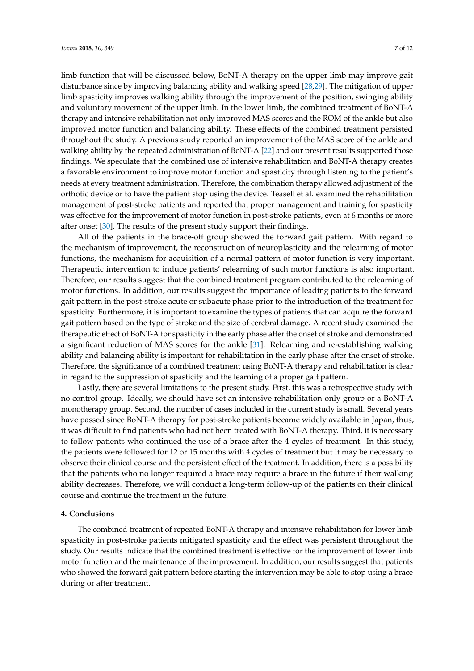limb function that will be discussed below, BoNT-A therapy on the upper limb may improve gait disturbance since by improving balancing ability and walking speed [\[28,](#page-11-3)[29\]](#page-11-4). The mitigation of upper limb spasticity improves walking ability through the improvement of the position, swinging ability and voluntary movement of the upper limb. In the lower limb, the combined treatment of BoNT-A therapy and intensive rehabilitation not only improved MAS scores and the ROM of the ankle but also improved motor function and balancing ability. These effects of the combined treatment persisted throughout the study. A previous study reported an improvement of the MAS score of the ankle and walking ability by the repeated administration of BoNT-A [\[22\]](#page-10-15) and our present results supported those findings. We speculate that the combined use of intensive rehabilitation and BoNT-A therapy creates a favorable environment to improve motor function and spasticity through listening to the patient's needs at every treatment administration. Therefore, the combination therapy allowed adjustment of the orthotic device or to have the patient stop using the device. Teasell et al. examined the rehabilitation management of post-stroke patients and reported that proper management and training for spasticity was effective for the improvement of motor function in post-stroke patients, even at 6 months or more after onset [\[30\]](#page-11-5). The results of the present study support their findings.

All of the patients in the brace-off group showed the forward gait pattern. With regard to the mechanism of improvement, the reconstruction of neuroplasticity and the relearning of motor functions, the mechanism for acquisition of a normal pattern of motor function is very important. Therapeutic intervention to induce patients' relearning of such motor functions is also important. Therefore, our results suggest that the combined treatment program contributed to the relearning of motor functions. In addition, our results suggest the importance of leading patients to the forward gait pattern in the post-stroke acute or subacute phase prior to the introduction of the treatment for spasticity. Furthermore, it is important to examine the types of patients that can acquire the forward gait pattern based on the type of stroke and the size of cerebral damage. A recent study examined the therapeutic effect of BoNT-A for spasticity in the early phase after the onset of stroke and demonstrated a significant reduction of MAS scores for the ankle [\[31\]](#page-11-6). Relearning and re-establishing walking ability and balancing ability is important for rehabilitation in the early phase after the onset of stroke. Therefore, the significance of a combined treatment using BoNT-A therapy and rehabilitation is clear in regard to the suppression of spasticity and the learning of a proper gait pattern.

Lastly, there are several limitations to the present study. First, this was a retrospective study with no control group. Ideally, we should have set an intensive rehabilitation only group or a BoNT-A monotherapy group. Second, the number of cases included in the current study is small. Several years have passed since BoNT-A therapy for post-stroke patients became widely available in Japan, thus, it was difficult to find patients who had not been treated with BoNT-A therapy. Third, it is necessary to follow patients who continued the use of a brace after the 4 cycles of treatment. In this study, the patients were followed for 12 or 15 months with 4 cycles of treatment but it may be necessary to observe their clinical course and the persistent effect of the treatment. In addition, there is a possibility that the patients who no longer required a brace may require a brace in the future if their walking ability decreases. Therefore, we will conduct a long-term follow-up of the patients on their clinical course and continue the treatment in the future.

### **4. Conclusions**

The combined treatment of repeated BoNT-A therapy and intensive rehabilitation for lower limb spasticity in post-stroke patients mitigated spasticity and the effect was persistent throughout the study. Our results indicate that the combined treatment is effective for the improvement of lower limb motor function and the maintenance of the improvement. In addition, our results suggest that patients who showed the forward gait pattern before starting the intervention may be able to stop using a brace during or after treatment.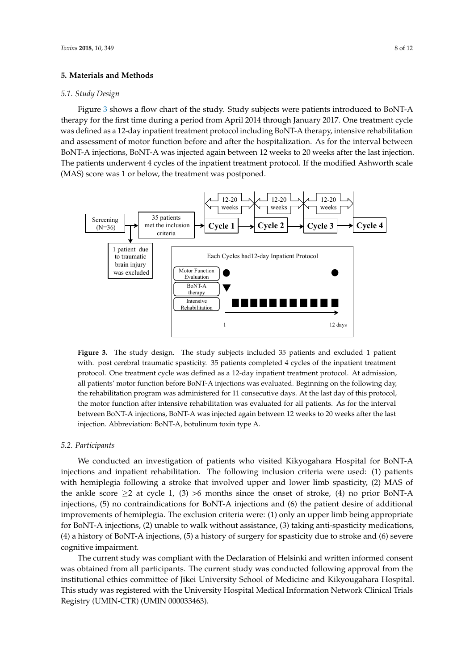### **5. Materials and Methods**

## *5.1. Study Design* **5. Materials and Methods**

Figure [3](#page-7-0) shows a flow chart of the study. Study subjects were patients introduced to BoNT-A therapy for the first time during a period from April 2014 through January 2017. One treatment cycle was defined as a 12-day inpatient treatment protocol including BoNT-A therapy, intensive rehabilitation and assessment of motor function before and after the hospitalization. As for the interval between BoNT-A injections, BoNT-A was injected again between 12 weeks to 20 weeks after the last injection. The patients underwent 4 cycles of the inpatient treatment protocol. If the modified Ashworth scale  $(MAS)$  score was 1 or below, the treatment was postponed. Ashworth scale (MAS) score was 1 or below, the treatment was postponed.

<span id="page-7-0"></span>

**Figure 3.** The study design. The study subjects included 35 patients and excluded 1 patient with. post **Figure 3.** The study design. The study subjects included 35 patients and excluded 1 patient with. post cerebral traumatic spasticity. 35 patients completed 4 cycles of the inpatient treatment protocol. One treatment cycle was defined as a 12-day inpatient treatment protocol. At admission, all patients' motor function before BoNT-A injections was evaluated. Beginning on the following day, the rehabilitation program was administered for 11 consecutive days. At the last day of this protocol, the motor function after intensive rehabilitation was evaluated for all patients. As for the interval between BoNT-A injections, BoNT-A was injected again between 12 weeks to 20 weeks after the last *5.2. Participants* injection. Abbreviation: BoNT-A, botulinum toxin type A.

#### $W$  conduction of patients who visited  $\tilde{v}$  and  $W$  visited Kikyogahara Hospital for  $B$ *5.2. Participants*

We conducted an investigation of patients who visited Kikyogahara Hospital for BoNT-A injections and inpatient rehabilitation. The following inclusion criteria were used: (1) patients with hemiplegia following a stroke that involved upper and lower limb spasticity, (2) MAS of the ankle score  $\geq$  at cycle 1, (3) >6 months since the onset of stroke, (4) no prior BoNT-A injections, (5) no contraindications for BoNT-A injections and (6) the patient desire of additional improvements of hemiplegia. The exclusion criteria were: (1) only an upper limb being appropriate for BoNT-A injections, (2) unable to walk without assistance, (3) taking anti-spasticity medications,  $T_{\text{H}}$  current study was compliant with the Declaration of  $\mathcal{L}_{\text{H}}$  and  $\mathcal{L}_{\text{H}}$  and  $\mathcal{L}_{\text{H}}$ (4) a history of BoNT-A injections, (5) a history of surgery for spasticity due to stroke and (6) severe inversitutional ethics committee of  $\mathcal{L}_{\text{max}}$  University School of Medicine and Kikyougahara Hospital. cognitive impairment.

The current study was compliant with the Declaration of Helsinki and written informed consent was obtained from all participants. The current study was conducted following approval from the institutional ethics committee of Jikei University School of Medicine and Kikyougahara Hospital. This study was registered with the University Hospital Medical Information Network Clinical Trials Registry (UMIN-CTR) (UMIN 000033463).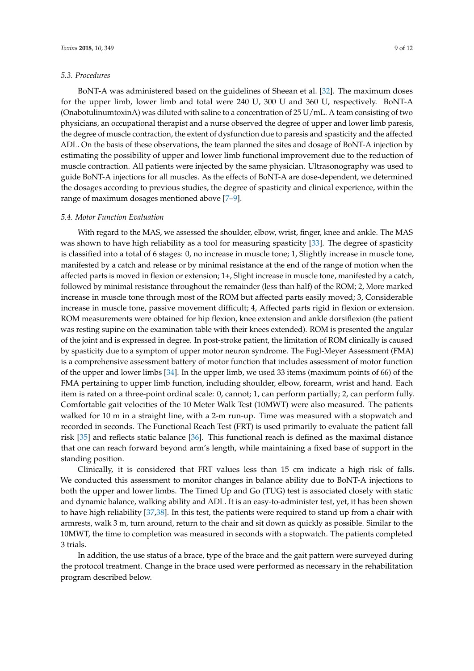### *5.3. Procedures*

BoNT-A was administered based on the guidelines of Sheean et al. [\[32\]](#page-11-7). The maximum doses for the upper limb, lower limb and total were 240 U, 300 U and 360 U, respectively. BoNT-A (OnabotulinumtoxinA) was diluted with saline to a concentration of 25 U/mL. A team consisting of two physicians, an occupational therapist and a nurse observed the degree of upper and lower limb paresis, the degree of muscle contraction, the extent of dysfunction due to paresis and spasticity and the affected ADL. On the basis of these observations, the team planned the sites and dosage of BoNT-A injection by estimating the possibility of upper and lower limb functional improvement due to the reduction of muscle contraction. All patients were injected by the same physician. Ultrasonography was used to guide BoNT-A injections for all muscles. As the effects of BoNT-A are dose-dependent, we determined the dosages according to previous studies, the degree of spasticity and clinical experience, within the range of maximum dosages mentioned above [\[7](#page-10-4)[–9\]](#page-10-8).

### *5.4. Motor Function Evaluation*

With regard to the MAS, we assessed the shoulder, elbow, wrist, finger, knee and ankle. The MAS was shown to have high reliability as a tool for measuring spasticity [\[33\]](#page-11-8). The degree of spasticity is classified into a total of 6 stages: 0, no increase in muscle tone; 1, Slightly increase in muscle tone, manifested by a catch and release or by minimal resistance at the end of the range of motion when the affected parts is moved in flexion or extension; 1+, Slight increase in muscle tone, manifested by a catch, followed by minimal resistance throughout the remainder (less than half) of the ROM; 2, More marked increase in muscle tone through most of the ROM but affected parts easily moved; 3, Considerable increase in muscle tone, passive movement difficult; 4, Affected parts rigid in flexion or extension. ROM measurements were obtained for hip flexion, knee extension and ankle dorsiflexion (the patient was resting supine on the examination table with their knees extended). ROM is presented the angular of the joint and is expressed in degree. In post-stroke patient, the limitation of ROM clinically is caused by spasticity due to a symptom of upper motor neuron syndrome. The Fugl-Meyer Assessment (FMA) is a comprehensive assessment battery of motor function that includes assessment of motor function of the upper and lower limbs [\[34\]](#page-11-9). In the upper limb, we used 33 items (maximum points of 66) of the FMA pertaining to upper limb function, including shoulder, elbow, forearm, wrist and hand. Each item is rated on a three-point ordinal scale: 0, cannot; 1, can perform partially; 2, can perform fully. Comfortable gait velocities of the 10 Meter Walk Test (10MWT) were also measured. The patients walked for 10 m in a straight line, with a 2-m run-up. Time was measured with a stopwatch and recorded in seconds. The Functional Reach Test (FRT) is used primarily to evaluate the patient fall risk [\[35\]](#page-11-10) and reflects static balance [\[36\]](#page-11-11). This functional reach is defined as the maximal distance that one can reach forward beyond arm's length, while maintaining a fixed base of support in the standing position.

Clinically, it is considered that FRT values less than 15 cm indicate a high risk of falls. We conducted this assessment to monitor changes in balance ability due to BoNT-A injections to both the upper and lower limbs. The Timed Up and Go (TUG) test is associated closely with static and dynamic balance, walking ability and ADL. It is an easy-to-administer test, yet, it has been shown to have high reliability [\[37,](#page-11-12)[38\]](#page-11-13). In this test, the patients were required to stand up from a chair with armrests, walk 3 m, turn around, return to the chair and sit down as quickly as possible. Similar to the 10MWT, the time to completion was measured in seconds with a stopwatch. The patients completed 3 trials.

In addition, the use status of a brace, type of the brace and the gait pattern were surveyed during the protocol treatment. Change in the brace used were performed as necessary in the rehabilitation program described below.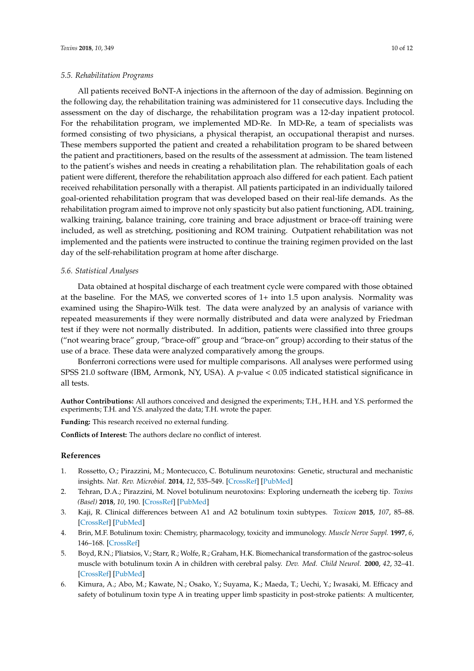### *5.5. Rehabilitation Programs*

All patients received BoNT-A injections in the afternoon of the day of admission. Beginning on the following day, the rehabilitation training was administered for 11 consecutive days. Including the assessment on the day of discharge, the rehabilitation program was a 12-day inpatient protocol. For the rehabilitation program, we implemented MD-Re. In MD-Re, a team of specialists was formed consisting of two physicians, a physical therapist, an occupational therapist and nurses. These members supported the patient and created a rehabilitation program to be shared between the patient and practitioners, based on the results of the assessment at admission. The team listened to the patient's wishes and needs in creating a rehabilitation plan. The rehabilitation goals of each patient were different, therefore the rehabilitation approach also differed for each patient. Each patient received rehabilitation personally with a therapist. All patients participated in an individually tailored goal-oriented rehabilitation program that was developed based on their real-life demands. As the rehabilitation program aimed to improve not only spasticity but also patient functioning, ADL training, walking training, balance training, core training and brace adjustment or brace-off training were included, as well as stretching, positioning and ROM training. Outpatient rehabilitation was not implemented and the patients were instructed to continue the training regimen provided on the last day of the self-rehabilitation program at home after discharge.

### *5.6. Statistical Analyses*

Data obtained at hospital discharge of each treatment cycle were compared with those obtained at the baseline. For the MAS, we converted scores of 1+ into 1.5 upon analysis. Normality was examined using the Shapiro-Wilk test. The data were analyzed by an analysis of variance with repeated measurements if they were normally distributed and data were analyzed by Friedman test if they were not normally distributed. In addition, patients were classified into three groups ("not wearing brace" group, "brace-off" group and "brace-on" group) according to their status of the use of a brace. These data were analyzed comparatively among the groups.

Bonferroni corrections were used for multiple comparisons. All analyses were performed using SPSS 21.0 software (IBM, Armonk, NY, USA). A *p*-value < 0.05 indicated statistical significance in all tests.

**Author Contributions:** All authors conceived and designed the experiments; T.H., H.H. and Y.S. performed the experiments; T.H. and Y.S. analyzed the data; T.H. wrote the paper.

**Funding:** This research received no external funding.

**Conflicts of Interest:** The authors declare no conflict of interest.

#### **References**

- <span id="page-9-0"></span>1. Rossetto, O.; Pirazzini, M.; Montecucco, C. Botulinum neurotoxins: Genetic, structural and mechanistic insights. *Nat. Rev. Microbiol.* **2014**, *12*, 535–549. [\[CrossRef\]](http://dx.doi.org/10.1038/nrmicro3295) [\[PubMed\]](http://www.ncbi.nlm.nih.gov/pubmed/24975322)
- <span id="page-9-1"></span>2. Tehran, D.A.; Pirazzini, M. Novel botulinum neurotoxins: Exploring underneath the iceberg tip. *Toxins (Basel)* **2018**, *10*, 190. [\[CrossRef\]](http://dx.doi.org/10.3390/toxins10050190) [\[PubMed\]](http://www.ncbi.nlm.nih.gov/pubmed/29748471)
- <span id="page-9-2"></span>3. Kaji, R. Clinical differences between A1 and A2 botulinum toxin subtypes. *Toxicon* **2015**, *107*, 85–88. [\[CrossRef\]](http://dx.doi.org/10.1016/j.toxicon.2015.09.025) [\[PubMed\]](http://www.ncbi.nlm.nih.gov/pubmed/26394198)
- <span id="page-9-3"></span>4. Brin, M.F. Botulinum toxin: Chemistry, pharmacology, toxicity and immunology. *Muscle Nerve Suppl.* **1997**, *6*, 146–168. [\[CrossRef\]](http://dx.doi.org/10.1002/(SICI)1097-4598(1997)6+<146::AID-MUS10>3.0.CO;2-4)
- <span id="page-9-4"></span>5. Boyd, R.N.; Pliatsios, V.; Starr, R.; Wolfe, R.; Graham, H.K. Biomechanical transformation of the gastroc-soleus muscle with botulinum toxin A in children with cerebral palsy. *Dev. Med. Child Neurol.* **2000**, *42*, 32–41. [\[CrossRef\]](http://dx.doi.org/10.1017/S0012162200000074) [\[PubMed\]](http://www.ncbi.nlm.nih.gov/pubmed/10665973)
- <span id="page-9-5"></span>6. Kimura, A.; Abo, M.; Kawate, N.; Osako, Y.; Suyama, K.; Maeda, T.; Uechi, Y.; Iwasaki, M. Efficacy and safety of botulinum toxin type A in treating upper limb spasticity in post-stroke patients: A multicenter,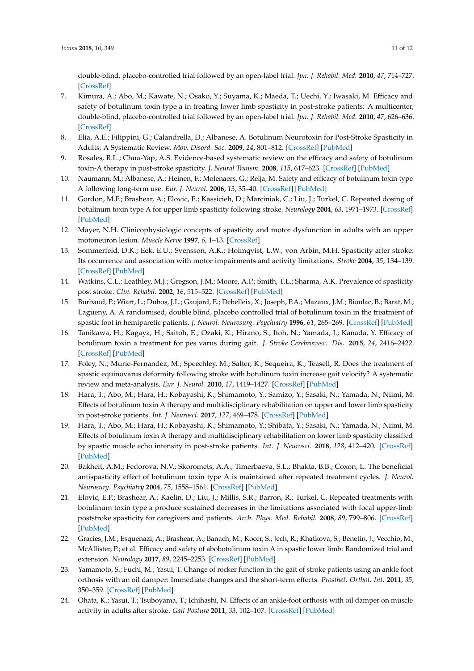double-blind, placebo-controlled trial followed by an open-label trial. *Jpn. J. Rehabil. Med.* **2010**, *47*, 714–727. [\[CrossRef\]](http://dx.doi.org/10.2490/jjrmc.47.714)

- <span id="page-10-4"></span>7. Kimura, A.; Abo, M.; Kawate, N.; Osako, Y.; Suyama, K.; Maeda, T.; Uechi, Y.; Iwasaki, M. Efficacy and safety of botulinum toxin type a in treating lower limb spasticity in post-stroke patients: A multicenter, double-blind, placebo-controlled trial followed by an open-label trial. *Jpn. J. Rehabil. Med.* **2010**, *47*, 626–636. [\[CrossRef\]](http://dx.doi.org/10.2490/jjrmc.47.626)
- <span id="page-10-7"></span>8. Elia, A.E.; Filippini, G.; Calandrella, D.; Albanese, A. Botulinum Neurotoxin for Post-Stroke Spasticity in Adults: A Systematic Review. *Mov. Disord. Soc.* **2009**, *24*, 801–812. [\[CrossRef\]](http://dx.doi.org/10.1002/mds.22452) [\[PubMed\]](http://www.ncbi.nlm.nih.gov/pubmed/19224614)
- <span id="page-10-8"></span>9. Rosales, R.L.; Chua-Yap, A.S. Evidence-based systematic review on the efficacy and safety of botulinum toxin-A therapy in post-stroke spasticity. *J. Neural Transm.* **2008**, *115*, 617–623. [\[CrossRef\]](http://dx.doi.org/10.1007/s00702-007-0869-3) [\[PubMed\]](http://www.ncbi.nlm.nih.gov/pubmed/18322637)
- <span id="page-10-12"></span>10. Naumann, M.; Albanese, A.; Heinen, F.; Molenaers, G.; Relja, M. Safety and efficacy of botulinum toxin type A following long-term use. *Eur. J. Neurol.* **2006**, *13*, 35–40. [\[CrossRef\]](http://dx.doi.org/10.1111/j.1468-1331.2006.01652.x) [\[PubMed\]](http://www.ncbi.nlm.nih.gov/pubmed/17112348)
- <span id="page-10-0"></span>11. Gordon, M.F.; Brashear, A.; Elovic, E.; Kassicieh, D.; Marciniak, C.; Liu, J.; Turkel, C. Repeated dosing of botulinum toxin type A for upper limb spasticity following stroke. *Neurology* **2004**, *63*, 1971–1973. [\[CrossRef\]](http://dx.doi.org/10.1212/01.WNL.0000144349.95487.91) [\[PubMed\]](http://www.ncbi.nlm.nih.gov/pubmed/15557529)
- <span id="page-10-1"></span>12. Mayer, N.H. Clinicophysiologic concepts of spasticity and motor dysfunction in adults with an upper motoneuron lesion. *Muscle Nerve* **1997**, *6*, 1–13. [\[CrossRef\]](http://dx.doi.org/10.1002/(SICI)1097-4598(1997)6+<1::AID-MUS2>3.0.CO;2-D)
- <span id="page-10-2"></span>13. Sommerfeld, D.K.; Eek, E.U.; Svensson, A.K.; Holmqvist, L.W.; von Arbin, M.H. Spasticity after stroke: Its occurrence and association with motor impairments and activity limitations. *Stroke* **2004**, *35*, 134–139. [\[CrossRef\]](http://dx.doi.org/10.1161/01.STR.0000105386.05173.5E) [\[PubMed\]](http://www.ncbi.nlm.nih.gov/pubmed/14684785)
- <span id="page-10-3"></span>14. Watkins, C.L.; Leathley, M.J.; Gregson, J.M.; Moore, A.P.; Smith, T.L.; Sharma, A.K. Prevalence of spasticity post stroke. *Clin. Rehabil.* **2002**, *16*, 515–522. [\[CrossRef\]](http://dx.doi.org/10.1191/0269215502cr512oa) [\[PubMed\]](http://www.ncbi.nlm.nih.gov/pubmed/12194622)
- <span id="page-10-5"></span>15. Burbaud, P.; Wiart, L.; Dubos, J.L.; Gaujard, E.; Debelleix, X.; Joseph, P.A.; Mazaux, J.M.; Bioulac, B.; Barat, M.; Lagueny, A. A randomised, double blind, placebo controlled trial of botulinum toxin in the treatment of spastic foot in hemiparetic patients. *J. Neurol. Neurosurg. Psychiatry* **1996**, *61*, 265–269. [\[CrossRef\]](http://dx.doi.org/10.1136/jnnp.61.3.265) [\[PubMed\]](http://www.ncbi.nlm.nih.gov/pubmed/8795597)
- <span id="page-10-6"></span>16. Tanikawa, H.; Kagaya, H.; Saitoh, E.; Ozaki, K.; Hirano, S.; Itoh, N.; Yamada, J.; Kanada, Y. Efficacy of botulinum toxin a treatment for pes varus during gait. *J. Stroke Cerebrovasc. Dis.* **2015**, *24*, 2416–2422. [\[CrossRef\]](http://dx.doi.org/10.1016/j.jstrokecerebrovasdis.2015.06.035) [\[PubMed\]](http://www.ncbi.nlm.nih.gov/pubmed/26232889)
- <span id="page-10-9"></span>17. Foley, N.; Murie-Fernandez, M.; Speechley, M.; Salter, K.; Sequeira, K.; Teasell, R. Does the treatment of spastic equinovarus deformity following stroke with botulinum toxin increase gait velocity? A systematic review and meta-analysis. *Eur. J. Neurol.* **2010**, *17*, 1419–1427. [\[CrossRef\]](http://dx.doi.org/10.1111/j.1468-1331.2010.03084.x) [\[PubMed\]](http://www.ncbi.nlm.nih.gov/pubmed/20491885)
- <span id="page-10-10"></span>18. Hara, T.; Abo, M.; Hara, H.; Kobayashi, K.; Shimamoto, Y.; Samizo, Y.; Sasaki, N.; Yamada, N.; Niimi, M. Effects of botulinum toxin A therapy and multidisciplinary rehabilitation on upper and lower limb spasticity in post-stroke patients. *Int. J. Neurosci.* **2017**, *127*, 469–478. [\[CrossRef\]](http://dx.doi.org/10.1080/00207454.2016.1196204) [\[PubMed\]](http://www.ncbi.nlm.nih.gov/pubmed/27256591)
- <span id="page-10-11"></span>19. Hara, T.; Abo, M.; Hara, H.; Kobayashi, K.; Shimamoto, Y.; Shibata, Y.; Sasaki, N.; Yamada, N.; Niimi, M. Effects of botulinum toxin A therapy and multidisciplinary rehabilitation on lower limb spasticity classified by spastic muscle echo intensity in post-stroke patients. *Int. J. Neurosci.* **2018**, *128*, 412–420. [\[CrossRef\]](http://dx.doi.org/10.1080/00207454.2017.1389927) [\[PubMed\]](http://www.ncbi.nlm.nih.gov/pubmed/28985683)
- <span id="page-10-13"></span>20. Bakheit, A.M.; Fedorova, N.V.; Skoromets, A.A.; Timerbaeva, S.L.; Bhakta, B.B.; Coxon, L. The beneficial antispasticity effect of botulinum toxin type A is maintained after repeated treatment cycles. *J. Neurol. Neurosurg. Psychiatry* **2004**, *75*, 1558–1561. [\[CrossRef\]](http://dx.doi.org/10.1136/jnnp.2003.035139) [\[PubMed\]](http://www.ncbi.nlm.nih.gov/pubmed/15489387)
- <span id="page-10-14"></span>21. Elovic, E.P.; Brashear, A.; Kaelin, D.; Liu, J.; Millis, S.R.; Barron, R.; Turkel, C. Repeated treatments with botulinum toxin type a produce sustained decreases in the limitations associated with focal upper-limb poststroke spasticity for caregivers and patients. *Arch. Phys. Med. Rehabil.* **2008**, *89*, 799–806. [\[CrossRef\]](http://dx.doi.org/10.1016/j.apmr.2008.01.007) [\[PubMed\]](http://www.ncbi.nlm.nih.gov/pubmed/18452724)
- <span id="page-10-15"></span>22. Gracies, J.M.; Esquenazi, A.; Brashear, A.; Banach, M.; Kocer, S.; Jech, R.; Khatkova, S.; Benetin, J.; Vecchio, M.; McAllister, P.; et al. Efficacy and safety of abobotulinum toxin A in spastic lower limb: Randomized trial and extension. *Neurology* **2017**, *89*, 2245–2253. [\[CrossRef\]](http://dx.doi.org/10.1212/WNL.0000000000004687) [\[PubMed\]](http://www.ncbi.nlm.nih.gov/pubmed/29093068)
- <span id="page-10-16"></span>23. Yamamoto, S.; Fuchi, M.; Yasui, T. Change of rocker function in the gait of stroke patients using an ankle foot orthosis with an oil damper: Immediate changes and the short-term effects. *Prosthet. Orthot. Int.* **2011**, *35*, 350–359. [\[CrossRef\]](http://dx.doi.org/10.1177/0309364611420200) [\[PubMed\]](http://www.ncbi.nlm.nih.gov/pubmed/21948737)
- <span id="page-10-17"></span>24. Ohata, K.; Yasui, T.; Tsuboyama, T.; Ichihashi, N. Effects of an ankle-foot orthosis with oil damper on muscle activity in adults after stroke. *Gait Posture* **2011**, *33*, 102–107. [\[CrossRef\]](http://dx.doi.org/10.1016/j.gaitpost.2010.10.083) [\[PubMed\]](http://www.ncbi.nlm.nih.gov/pubmed/21074442)